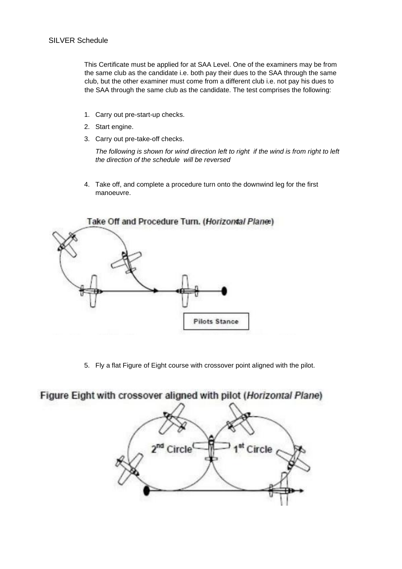This Certificate must be applied for at SAA Level. One of the examiners may be from the same club as the candidate i.e. both pay their dues to the SAA through the same club, but the other examiner must come from a different club i.e. not pay his dues to the SAA through the same club as the candidate. The test comprises the following:

- 1. Carry out pre-start-up checks.
- 2. Start engine.
- 3. Carry out pre-take-off checks.

*The following is shown for wind direction left to right if the wind is from right to left the direction of the schedule will be reversed*

4. Take off, and complete a procedure turn onto the downwind leg for the first manoeuvre.



5. Fly a flat Figure of Eight course with crossover point aligned with the pilot.

## Figure Eight with crossover aligned with pilot (Horizontal Plane)

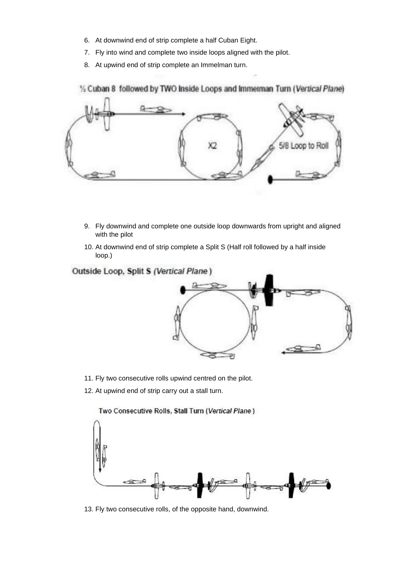- 6. At downwind end of strip complete a half Cuban Eight.
- 7. Fly into wind and complete two inside loops aligned with the pilot.
- 8. At upwind end of strip complete an Immelman turn.

1/2 Cuban 8 followed by TWO Inside Loops and Immerman Turn (Vertical Plane)



- 9. Fly downwind and complete one outside loop downwards from upright and aligned with the pilot
- 10. At downwind end of strip complete a Split S (Half roll followed by a half inside loop.)

Outside Loop, Split S (Vertical Plane)



- 11. Fly two consecutive rolls upwind centred on the pilot.
- 12. At upwind end of strip carry out a stall turn.

Two Consecutive Rolls, Stall Turn (Vertical Plane)

13. Fly two consecutive rolls, of the opposite hand, downwind.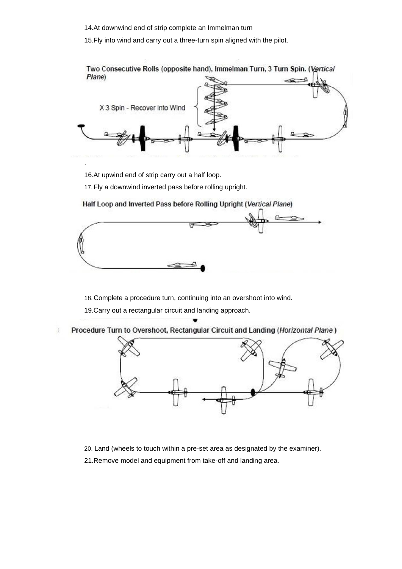14.At downwind end of strip complete an Immelman turn

15.Fly into wind and carry out a three-turn spin aligned with the pilot.



16.At upwind end of strip carry out a half loop.

17.Fly a downwind inverted pass before rolling upright.

Half Loop and Inverted Pass before Rolling Upright (Vertical Plane)



18. Complete a procedure turn, continuing into an overshoot into wind. 19.Carry out a rectangular circuit and landing approach.

Procedure Turn to Overshoot, Rectangular Circuit and Landing (Horizontal Plane) 3



20. Land (wheels to touch within a pre-set area as designated by the examiner).

21.Remove model and equipment from take-off and landing area.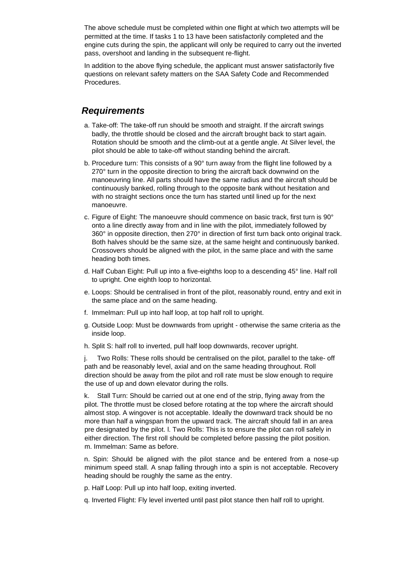The above schedule must be completed within one flight at which two attempts will be permitted at the time. If tasks 1 to 13 have been satisfactorily completed and the engine cuts during the spin, the applicant will only be required to carry out the inverted pass, overshoot and landing in the subsequent re-flight.

In addition to the above flying schedule, the applicant must answer satisfactorily five questions on relevant safety matters on the SAA Safety Code and Recommended Procedures.

## *Requirements*

- a. Take-off: The take-off run should be smooth and straight. If the aircraft swings badly, the throttle should be closed and the aircraft brought back to start again. Rotation should be smooth and the climb-out at a gentle angle. At Silver level, the pilot should be able to take-off without standing behind the aircraft.
- b. Procedure turn: This consists of a 90° turn away from the flight line followed by a 270° turn in the opposite direction to bring the aircraft back downwind on the manoeuvring line. All parts should have the same radius and the aircraft should be continuously banked, rolling through to the opposite bank without hesitation and with no straight sections once the turn has started until lined up for the next manoeuvre.
- c. Figure of Eight: The manoeuvre should commence on basic track, first turn is 90° onto a line directly away from and in line with the pilot, immediately followed by 360° in opposite direction, then 270° in direction of first turn back onto original track. Both halves should be the same size, at the same height and continuously banked. Crossovers should be aligned with the pilot, in the same place and with the same heading both times.
- d. Half Cuban Eight: Pull up into a five-eighths loop to a descending 45° line. Half roll to upright. One eighth loop to horizontal.
- e. Loops: Should be centralised in front of the pilot, reasonably round, entry and exit in the same place and on the same heading.
- f. Immelman: Pull up into half loop, at top half roll to upright.
- g. Outside Loop: Must be downwards from upright otherwise the same criteria as the inside loop.
- h. Split S: half roll to inverted, pull half loop downwards, recover upright.

j. Two Rolls: These rolls should be centralised on the pilot, parallel to the take- off path and be reasonably level, axial and on the same heading throughout. Roll direction should be away from the pilot and roll rate must be slow enough to require the use of up and down elevator during the rolls.

k. Stall Turn: Should be carried out at one end of the strip, flying away from the pilot. The throttle must be closed before rotating at the top where the aircraft should almost stop. A wingover is not acceptable. Ideally the downward track should be no more than half a wingspan from the upward track. The aircraft should fall in an area pre designated by the pilot. l. Two Rolls: This is to ensure the pilot can roll safely in either direction. The first roll should be completed before passing the pilot position. m. Immelman: Same as before.

n. Spin: Should be aligned with the pilot stance and be entered from a nose-up minimum speed stall. A snap falling through into a spin is not acceptable. Recovery heading should be roughly the same as the entry.

- p. Half Loop: Pull up into half loop, exiting inverted.
- q. Inverted Flight: Fly level inverted until past pilot stance then half roll to upright.